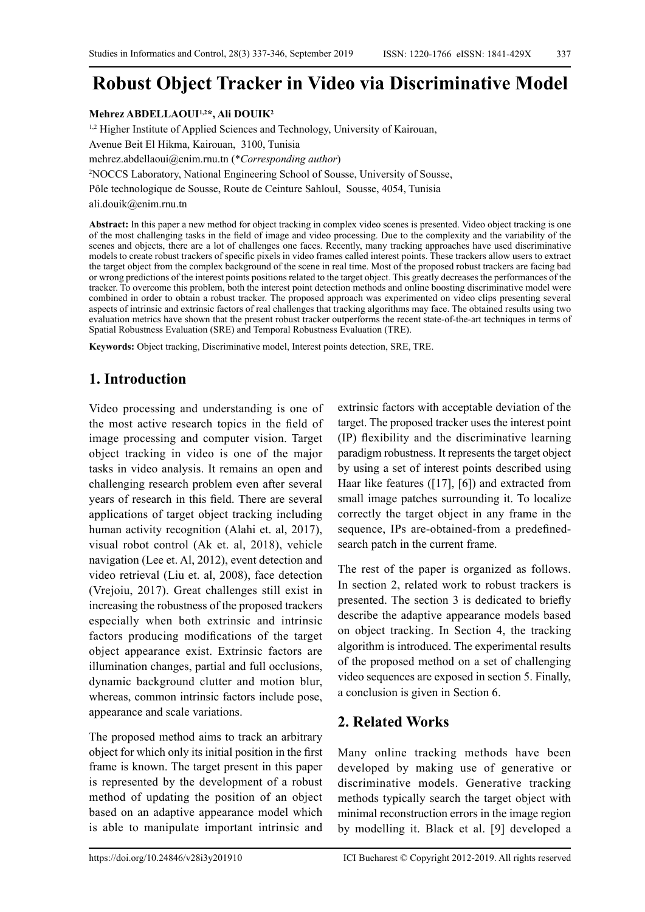# **Robust Object Tracker in Video via Discriminative Model**

#### **Mehrez ABDELLAOUI1,2\*, Ali DOUIK2**

<sup>1,2</sup> Higher Institute of Applied Sciences and Technology, University of Kairouan, Avenue Beit El Hikma, Kairouan, 3100, Tunisia [mehrez.abdellaoui@enim.rnu.tn](mailto:mehrez.abdellaoui@enim.rnu.tn) (\**Corresponding author*) 2 NOCCS Laboratory, National Engineering School of Sousse, University of Sousse, Pôle technologique de Sousse, Route de Ceinture Sahloul, Sousse, 4054, Tunisia [ali.douik@enim.rnu.tn](mailto:ali.douik@enim.rnu.tn) 

**Abstract:** In this paper a new method for object tracking in complex video scenes is presented. Video object tracking is one of the most challenging tasks in the field of image and video processing. Due to the complexity and the variability of the scenes and objects, there are a lot of challenges one faces. Recently, many tracking approaches have used discriminative models to create robust trackers of specific pixels in video frames called interest points. These trackers allow users to extract the target object from the complex background of the scene in real time. Most of the proposed robust trackers are facing bad or wrong predictions of the interest points positions related to the target object. This greatly decreases the performances of the tracker. To overcome this problem, both the interest point detection methods and online boosting discriminative model were combined in order to obtain a robust tracker. The proposed approach was experimented on video clips presenting several aspects of intrinsic and extrinsic factors of real challenges that tracking algorithms may face. The obtained results using two evaluation metrics have shown that the present robust tracker outperforms the recent state-of-the-art techniques in terms of Spatial Robustness Evaluation (SRE) and Temporal Robustness Evaluation (TRE).

**Keywords:** Object tracking, Discriminative model, Interest points detection, SRE, TRE.

# **1. Introduction**

Video processing and understanding is one of the most active research topics in the field of image processing and computer vision. Target object tracking in video is one of the major tasks in video analysis. It remains an open and challenging research problem even after several years of research in this field. There are several applications of target object tracking including human activity recognition (Alahi et. al, 2017), visual robot control (Ak et. al, 2018), vehicle navigation (Lee et. Al, 2012), event detection and video retrieval (Liu et. al, 2008), face detection (Vrejoiu, 2017). Great challenges still exist in increasing the robustness of the proposed trackers especially when both extrinsic and intrinsic factors producing modifications of the target object appearance exist. Extrinsic factors are illumination changes, partial and full occlusions, dynamic background clutter and motion blur, whereas, common intrinsic factors include pose, appearance and scale variations.

The proposed method aims to track an arbitrary object for which only its initial position in the first frame is known. The target present in this paper is represented by the development of a robust method of updating the position of an object based on an adaptive appearance model which is able to manipulate important intrinsic and

extrinsic factors with acceptable deviation of the target. The proposed tracker uses the interest point (IP) flexibility and the discriminative learning paradigm robustness. It represents the target object by using a set of interest points described using Haar like features ([17], [6]) and extracted from small image patches surrounding it. To localize correctly the target object in any frame in the sequence, IPs are-obtained-from a predefinedsearch patch in the current frame.

The rest of the paper is organized as follows. In section 2, related work to robust trackers is presented. The section 3 is dedicated to briefly describe the adaptive appearance models based on object tracking. In Section 4, the tracking algorithm is introduced. The experimental results of the proposed method on a set of challenging video sequences are exposed in section 5. Finally, a conclusion is given in Section 6.

# **2. Related Works**

Many online tracking methods have been developed by making use of generative or discriminative models. Generative tracking methods typically search the target object with minimal reconstruction errors in the image region by modelling it. Black et al. [9] developed a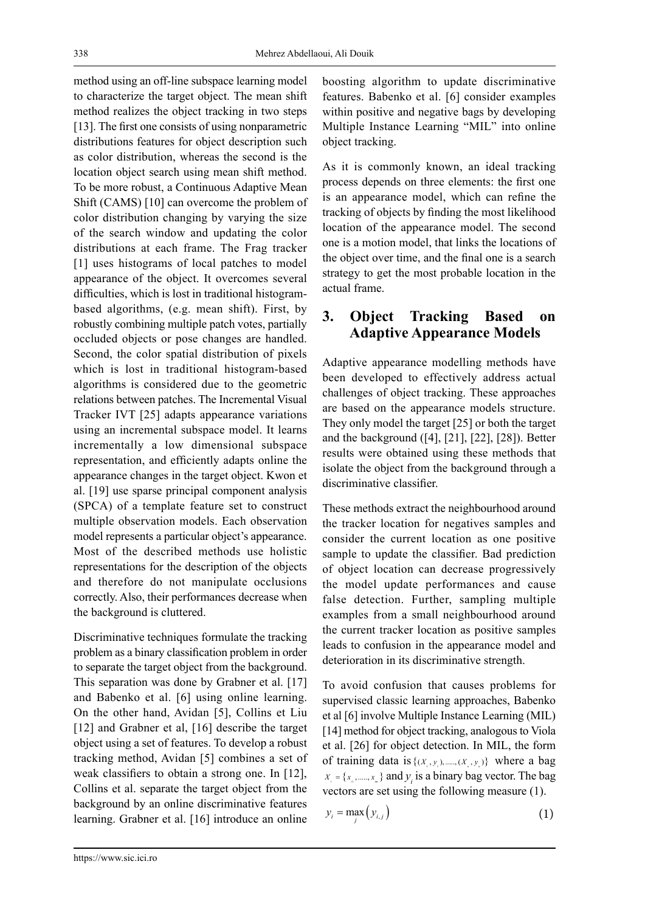method using an off-line subspace learning model to characterize the target object. The mean shift method realizes the object tracking in two steps [13]. The first one consists of using nonparametric distributions features for object description such as color distribution, whereas the second is the location object search using mean shift method. To be more robust, a Continuous Adaptive Mean Shift (CAMS) [10] can overcome the problem of color distribution changing by varying the size of the search window and updating the color distributions at each frame. The Frag tracker [1] uses histograms of local patches to model appearance of the object. It overcomes several difficulties, which is lost in traditional histogrambased algorithms, (e.g. mean shift). First, by robustly combining multiple patch votes, partially occluded objects or pose changes are handled. Second, the color spatial distribution of pixels which is lost in traditional histogram-based algorithms is considered due to the geometric relations between patches. The Incremental Visual Tracker IVT [25] adapts appearance variations using an incremental subspace model. It learns incrementally a low dimensional subspace representation, and efficiently adapts online the appearance changes in the target object. Kwon et al. [19] use sparse principal component analysis (SPCA) of a template feature set to construct multiple observation models. Each observation model represents a particular object's appearance. Most of the described methods use holistic representations for the description of the objects and therefore do not manipulate occlusions correctly. Also, their performances decrease when the background is cluttered.

Discriminative techniques formulate the tracking problem as a binary classification problem in order to separate the target object from the background. This separation was done by Grabner et al. [17] and Babenko et al. [6] using online learning. On the other hand, Avidan [5], Collins et Liu [12] and Grabner et al, [16] describe the target object using a set of features. To develop a robust tracking method, Avidan [5] combines a set of weak classifiers to obtain a strong one. In [12], Collins et al. separate the target object from the background by an online discriminative features learning. Grabner et al. [16] introduce an online

boosting algorithm to update discriminative features. Babenko et al. [6] consider examples within positive and negative bags by developing Multiple Instance Learning "MIL" into online object tracking.

As it is commonly known, an ideal tracking process depends on three elements: the first one is an appearance model, which can refine the tracking of objects by finding the most likelihood location of the appearance model. The second one is a motion model, that links the locations of the object over time, and the final one is a search strategy to get the most probable location in the actual frame.

# **3. Object Tracking Based on Adaptive Appearance Models**

Adaptive appearance modelling methods have been developed to effectively address actual challenges of object tracking. These approaches are based on the appearance models structure. They only model the target [25] or both the target and the background ([4], [21], [22], [28]). Better results were obtained using these methods that isolate the object from the background through a discriminative classifier.

These methods extract the neighbourhood around the tracker location for negatives samples and consider the current location as one positive sample to update the classifier. Bad prediction of object location can decrease progressively the model update performances and cause false detection. Further, sampling multiple examples from a small neighbourhood around the current tracker location as positive samples leads to confusion in the appearance model and deterioration in its discriminative strength.

To avoid confusion that causes problems for supervised classic learning approaches, Babenko et al [6] involve Multiple Instance Learning (MIL) [14] method for object tracking, analogous to Viola et al. [26] for object detection. In MIL, the form of training data is  $\{(x_1, y_1), \dots, (x_n, y_n)\}$  where a bag  ${X}_{i} = \{x_{i}, \dots, x_{m}\}\$  and  ${Y}_{i}$  is a binary bag vector. The bag vectors are set using the following measure (1).

$$
y_i = \max_j (y_{i,j})
$$
 (1)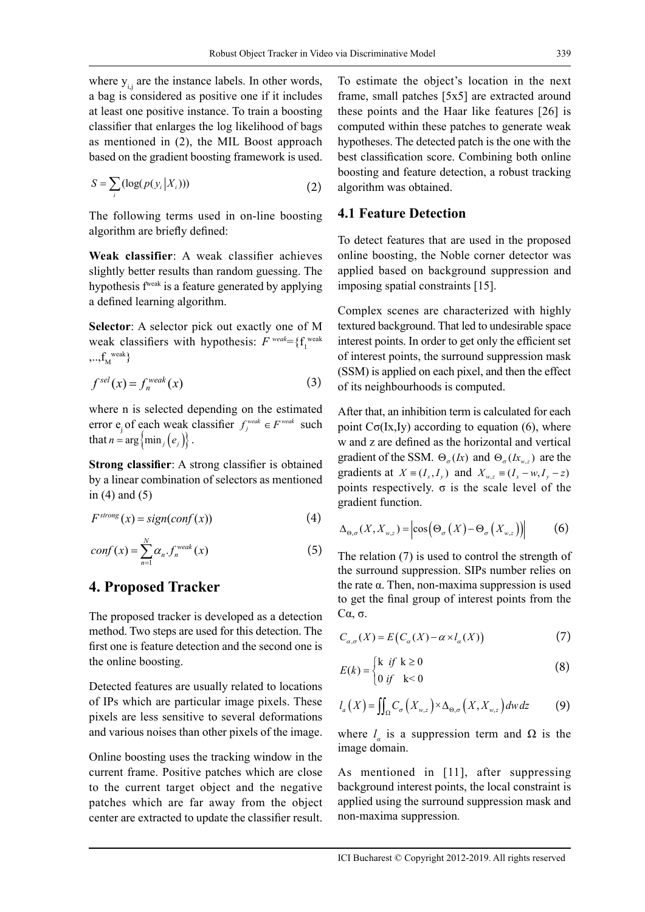where  $y_{i,j}$  are the instance labels. In other words, a bag is considered as positive one if it includes at least one positive instance. To train a boosting classifier that enlarges the log likelihood of bags as mentioned in (2), the MIL Boost approach based on the gradient boosting framework is used.

$$
S = \sum_{i} (\log(p(y_i | X_i))) \tag{2}
$$

The following terms used in on-line boosting algorithm are briefly defined:

**Weak classifier**: A weak classifier achieves slightly better results than random guessing. The hypothesis fweak is a feature generated by applying a defined learning algorithm.

**Selector**: A selector pick out exactly one of M weak classifiers with hypothesis:  $F^{weak} = \{f_1^{weak} \}$  $,...,f_M^{\text{ weak}}\}$ 

$$
fsel(x) = fnweak(x)
$$
 (3)

where n is selected depending on the estimated error  $e_j$  of each weak classifier  $f_j^{\text{weak}} \in F^{\text{weak}}$  such that  $n = \arg \{ \min_i (e_i) \}.$ 

**Strong classifier**: A strong classifier is obtained by a linear combination of selectors as mentioned in  $(4)$  and  $(5)$ 

$$
F^{strong}(x) = sign(conf(x))
$$
\n(4)

$$
conf(x) = \sum_{n=1}^{N} \alpha_n . f_n^{weak}(x)
$$
 (5)

#### **4. Proposed Tracker**

The proposed tracker is developed as a detection method. Two steps are used for this detection. The first one is feature detection and the second one is the online boosting.

Detected features are usually related to locations of IPs which are particular image pixels. These pixels are less sensitive to several deformations and various noises than other pixels of the image.

Online boosting uses the tracking window in the current frame. Positive patches which are close to the current target object and the negative patches which are far away from the object center are extracted to update the classifier result. To estimate the object's location in the next frame, small patches [5x5] are extracted around these points and the Haar like features [26] is computed within these patches to generate weak hypotheses. The detected patch is the one with the best classification score. Combining both online boosting and feature detection, a robust tracking algorithm was obtained.

#### **4.1 Feature Detection**

To detect features that are used in the proposed online boosting, the Noble corner detector was applied based on background suppression and imposing spatial constraints [15].

Complex scenes are characterized with highly textured background. That led to undesirable space interest points. In order to get only the efficient set of interest points, the surround suppression mask (SSM) is applied on each pixel, and then the effect of its neighbourhoods is computed.

After that, an inhibition term is calculated for each point  $C\sigma(Ix,Iy)$  according to equation (6), where w and z are defined as the horizontal and vertical gradient of the SSM.  $\Theta_{\sigma}(k)$  and  $\Theta_{\sigma}(k_{w_{\sigma}})$  are the gradients at  $X = (I_x, I_y)$  and  $X_{wz} = (I_x - w, I_y - z)$ points respectively.  $\sigma$  is the scale level of the gradient function.

$$
\Delta_{\Theta,\sigma}(X,X_{w,z}) = \left| \cos\left(\Theta_{\sigma}\left(X\right) - \Theta_{\sigma}\left(X_{w,z}\right)\right) \right| \tag{6}
$$

The relation (7) is used to control the strength of the surround suppression. SIPs number relies on the rate α. Then, non-maxima suppression is used to get the final group of interest points from the Cα, σ.

$$
C_{\alpha,\sigma}(X) = E\big(C_{\alpha}(X) - \alpha \times l_{\alpha}(X)\big) \tag{7}
$$

$$
E(k) = \begin{cases} k & \text{if } k \ge 0 \\ 0 & \text{if } k < 0 \end{cases}
$$
 (8)

$$
l_a(X) = \iint_{\Omega} C_{\sigma}\left(X_{w,z}\right) \times \Delta_{\Theta,\sigma}\left(X, X_{w,z}\right) dw dz \tag{9}
$$

where  $l_a$  is a suppression term and  $\Omega$  is the image domain.

As mentioned in [11], after suppressing background interest points, the local constraint is applied using the surround suppression mask and non-maxima suppression.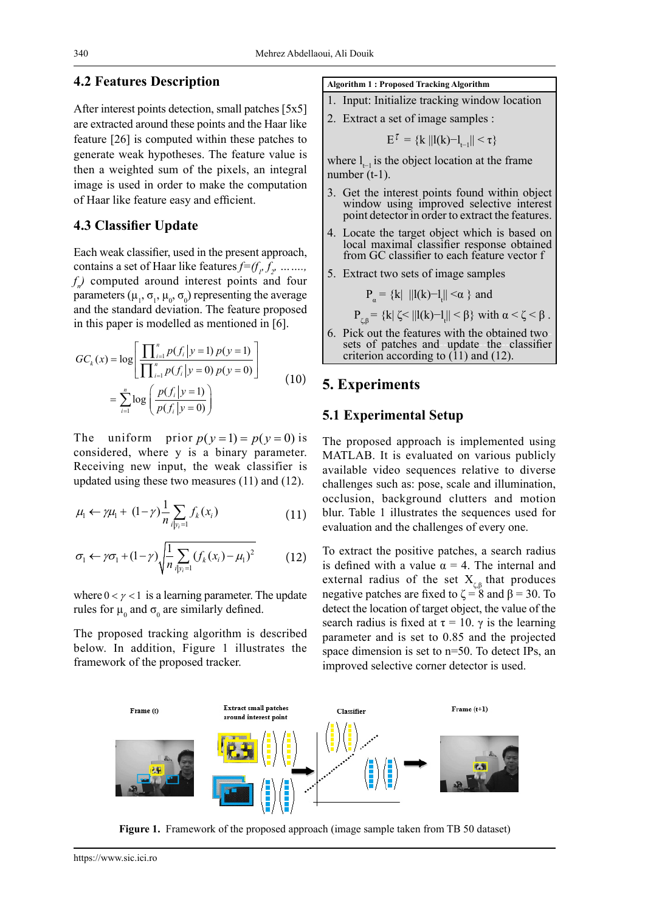#### **4.2 Features Description**

After interest points detection, small patches [5x5] are extracted around these points and the Haar like feature [26] is computed within these patches to generate weak hypotheses. The feature value is then a weighted sum of the pixels, an integral image is used in order to make the computation of Haar like feature easy and efficient.

#### **4.3 Classifier Update**

Each weak classifier, used in the present approach, contains a set of Haar like features  $f = (f_p, f_p, \ldots, f_q)$ *f n )* computed around interest points and four parameters ( $\mu_1$ ,  $\sigma_1$ ,  $\mu_0$ ,  $\sigma_0$ ) representing the average and the standard deviation. The feature proposed in this paper is modelled as mentioned in [6].

$$
GC_k(x) = \log \left[ \frac{\prod_{i=1}^n p(f_i | y = 1) p(y = 1)}{\prod_{i=1}^n p(f_i | y = 0) p(y = 0)} \right]
$$
  
= 
$$
\sum_{i=1}^n \log \left( \frac{p(f_i | y = 1)}{p(f_i | y = 0)} \right)
$$
 (10)

The uniform prior  $p(y=1) = p(y=0)$  is considered, where y is a binary parameter. Receiving new input, the weak classifier is updated using these two measures (11) and (12).

$$
\mu_{1} \leftarrow \gamma \mu_{1} + (1 - \gamma) \frac{1}{n} \sum_{i | y_{i} = 1} f_{k}(x_{i})
$$
\n(11)

$$
\sigma_1 \leftarrow \gamma \sigma_1 + (1 - \gamma) \sqrt{\frac{1}{n} \sum_{i \mid y_i = 1} (f_k(x_i) - \mu_1)^2}
$$
 (12)

where  $0 < \gamma < 1$  is a learning parameter. The update rules for  $\mu_0$  and  $\sigma_0$  are similarly defined.

The proposed tracking algorithm is described below. In addition, Figure 1 illustrates the framework of the proposed tracker.

#### **Algorithm 1 : Proposed Tracking Algorithm**

- 1. Input: Initialize tracking window location
- 2. Extract a set of image samples :

$$
E^{\tau} = \{k \, ||l(k)-l_{t-1}|| < \tau\}
$$

where  $l_{-1}$  is the object location at the frame number (t-1).

- 3. Get the interest points found within object window using improved selective interest point detector in order to extract the features.
- 4. Locate the target object which is based on local maximal classifier response obtained from GC classifier to each feature vector f
- 5. Extract two sets of image samples

$$
P_{\alpha} = \{k \mid ||l(k)-l_t|| < \alpha \}
$$
 and

$$
P_{\zeta,\beta} = \{k | \zeta < ||l(k) - l_t|| < \beta\} \text{ with } \alpha < \zeta < \beta \text{ .}
$$

6. Pick out the features with the obtained two-sets of patches and -update--the--classifier criterion according to  $(11)$  and  $(12)$ .

#### **5. Experiments**

#### **5.1 Experimental Setup**

The proposed approach is implemented using MATLAB. It is evaluated on various publicly available video sequences relative to diverse challenges such as: pose, scale and illumination, occlusion, background clutters and motion blur. Table 1 illustrates the sequences used for evaluation and the challenges of every one.

To extract the positive patches, a search radius is defined with a value  $\alpha = 4$ . The internal and external radius of the set  $X_{\epsilon}$  that produces negative patches are fixed to  $\zeta = 8$  and  $\beta = 30$ . To detect the location of target object, the value of the search radius is fixed at  $\tau = 10$ .  $\gamma$  is the learning parameter and is set to 0.85 and the projected space dimension is set to n=50. To detect IPs, an improved selective corner detector is used.



**Figure 1.** Framework of the proposed approach (image sample taken from TB 50 dataset)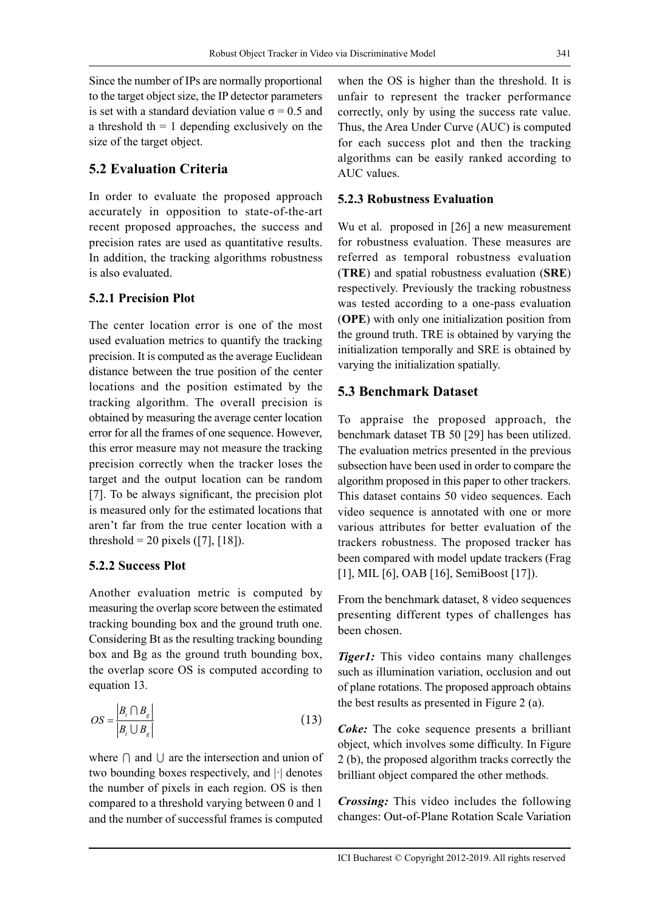Since the number of IPs are normally proportional to the target object size, the IP detector parameters is set with a standard deviation value  $\sigma$  = 0.5 and a threshold th  $= 1$  depending exclusively on the size of the target object.

# **5.2 Evaluation Criteria**

In order to evaluate the proposed approach accurately in opposition to state-of-the-art recent proposed approaches, the success and precision rates are used as quantitative results. In addition, the tracking algorithms robustness is also evaluated.

#### **5.2.1 Precision Plot**

The center location error is one of the most used evaluation metrics to quantify the tracking precision. It is computed as the average Euclidean distance between the true position of the center locations and the position estimated by the tracking algorithm. The overall precision is obtained by measuring the average center location error for all the frames of one sequence. However, this error measure may not measure the tracking precision correctly when the tracker loses the target and the output location can be random [7]. To be always significant, the precision plot is measured only for the estimated locations that aren't far from the true center location with a threshold = 20 pixels ([7], [18]).

#### **5.2.2 Success Plot**

Another evaluation metric is computed by measuring the overlap score between the estimated tracking bounding box and the ground truth one. Considering Bt as the resulting tracking bounding box and Bg as the ground truth bounding box, the overlap score OS is computed according to equation 13.

$$
OS = \frac{|B_t \cap B_g|}{|B_t \cup B_g|} \tag{13}
$$

where  $\cap$  and  $\cup$  are the intersection and union of two bounding boxes respectively, and |·| denotes the number of pixels in each region. OS is then compared to a threshold varying between 0 and 1 and the number of successful frames is computed

when the OS is higher than the threshold. It is unfair to represent the tracker performance correctly, only by using the success rate value. Thus, the Area Under Curve (AUC) is computed for each success plot and then the tracking algorithms can be easily ranked according to AUC values.

## **5.2.3 Robustness Evaluation**

Wu et al. proposed in [26] a new measurement for robustness evaluation. These measures are referred as temporal robustness evaluation (**TRE**) and spatial robustness evaluation (**SRE**) respectively. Previously the tracking robustness was tested according to a one-pass evaluation (**OPE**) with only one initialization position from the ground truth. TRE is obtained by varying the initialization temporally and SRE is obtained by varying the initialization spatially.

# **5.3 Benchmark Dataset**

To appraise the proposed approach, the benchmark dataset TB 50 [29] has been utilized. The evaluation metrics presented in the previous subsection have been used in order to compare the algorithm proposed in this paper to other trackers. This dataset contains 50 video sequences. Each video sequence is annotated with one or more various attributes for better evaluation of the trackers robustness. The proposed tracker has been compared with model update trackers (Frag [1], MIL [6], OAB [16], SemiBoost [17]).

From the benchmark dataset, 8 video sequences presenting different types of challenges has been chosen.

*Tiger1:* This video contains many challenges such as illumination variation, occlusion and out of plane rotations. The proposed approach obtains the best results as presented in Figure 2 (a).

*Coke:* The coke sequence presents a brilliant object, which involves some difficulty. In Figure 2 (b), the proposed algorithm tracks correctly the brilliant object compared the other methods.

*Crossing:* This video includes the following changes: Out-of-Plane Rotation Scale Variation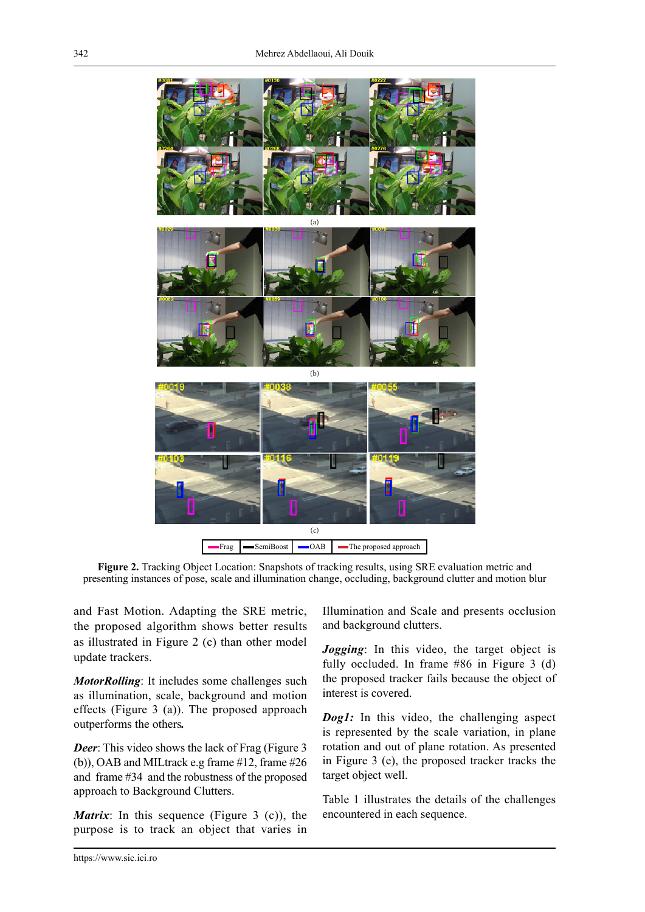

**Figure 2.** Tracking Object Location: Snapshots of tracking results, using SRE evaluation metric and presenting instances of pose, scale and illumination change, occluding, background clutter and motion blur

and Fast Motion. Adapting the SRE metric, the proposed algorithm shows better results as illustrated in Figure 2 (c) than other model update trackers.

*MotorRolling*: It includes some challenges such as illumination, scale, background and motion effects (Figure 3 (a)). The proposed approach outperforms the others*.* 

*Deer*: This video shows the lack of Frag (Figure 3) (b)), OAB and MILtrack e.g frame #12, frame #26 and frame #34 and the robustness of the proposed approach to Background Clutters.

*Matrix*: In this sequence (Figure 3 (c)), the purpose is to track an object that varies in

Illumination and Scale and presents occlusion and background clutters.

*Jogging*: In this video, the target object is fully occluded. In frame #86 in Figure 3 (d) the proposed tracker fails because the object of interest is covered.

*Dog1*: In this video, the challenging aspect is represented by the scale variation, in plane rotation and out of plane rotation. As presented in Figure 3 (e), the proposed tracker tracks the target object well.

Table 1 illustrates the details of the challenges encountered in each sequence.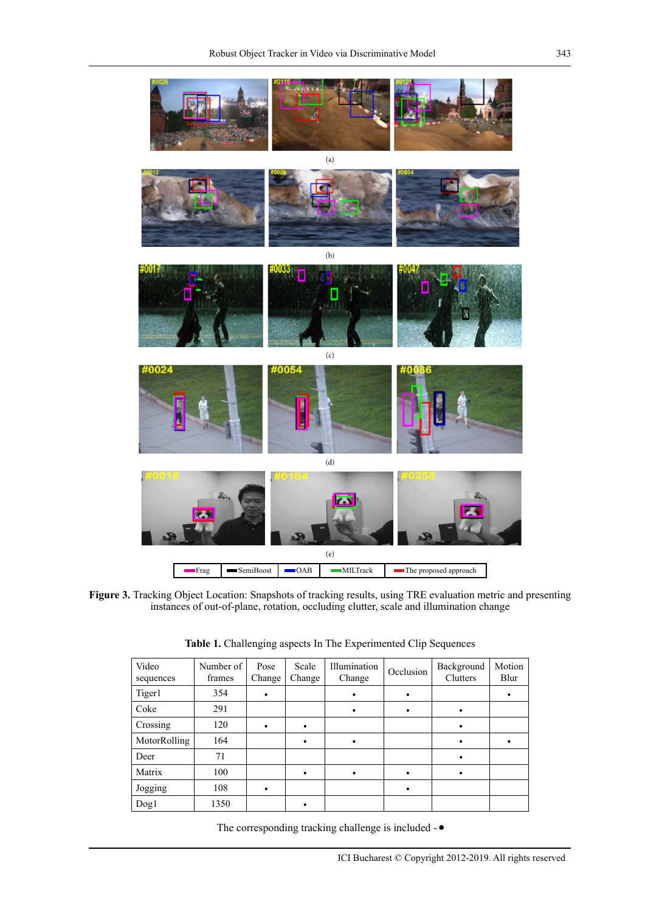

Figure 3. Tracking Object Location: Snapshots of tracking results, using TRE evaluation metric and presenting instances of out-of-plane, rotation, occluding clutter, scale and illumination change

| Video<br>sequences | Number of<br>frames | Pose<br>Change | Scale<br>Change | Illumination<br>Change | Occlusion | Background<br>Clutters | Motion<br>Blur |
|--------------------|---------------------|----------------|-----------------|------------------------|-----------|------------------------|----------------|
| Tiger1             | 354                 | $\bullet$      |                 |                        |           |                        |                |
| Coke               | 291                 |                |                 | ٠                      | ٠         | ٠                      |                |
| Crossing           | 120                 |                |                 |                        |           |                        |                |
| MotorRolling       | 164                 |                |                 | $\bullet$              |           | ٠                      |                |
| Deer               | 71                  |                |                 |                        |           | ٠                      |                |
| Matrix             | 100                 |                |                 | ٠                      | ٠         | ٠                      |                |
| Jogging            | 108                 | $\bullet$      |                 |                        | $\bullet$ |                        |                |
| Dog1               | 1350                |                |                 |                        |           |                        |                |

**Table 1.** Challenging aspects In The Experimented Clip Sequences

The corresponding tracking challenge is included -  $\bullet$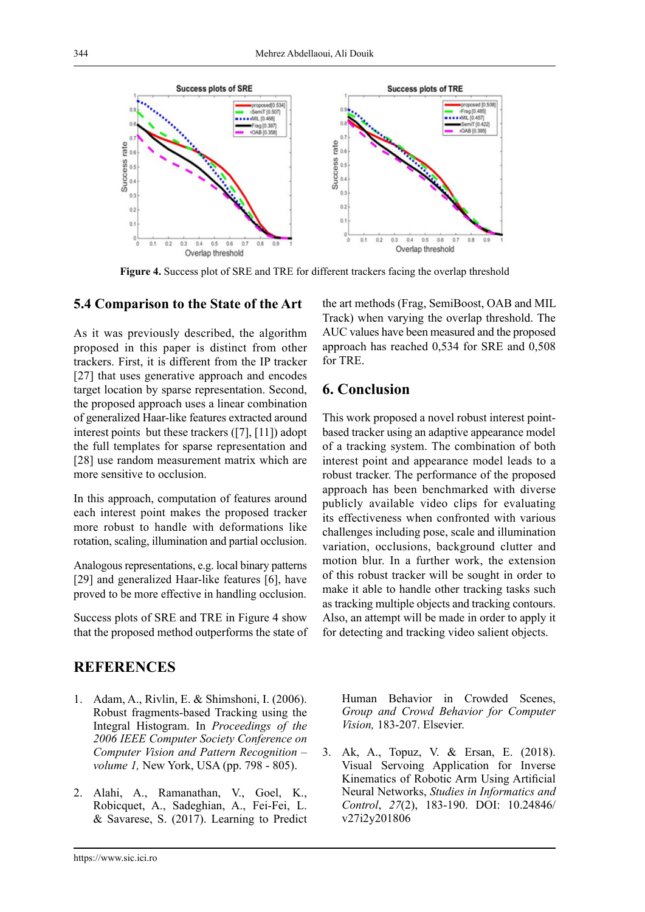

**Figure 4.** Success plot of SRE and TRE for different trackers facing the overlap threshold

#### **5.4 Comparison to the State of the Art**

As it was previously described, the algorithm proposed in this paper is distinct from other trackers. First, it is different from the IP tracker [27] that uses generative approach and encodes target location by sparse representation. Second, the proposed approach uses a linear combination of generalized Haar-like features extracted around interest points but these trackers ([7], [11]) adopt the full templates for sparse representation and [28] use random measurement matrix which are more sensitive to occlusion.

In this approach, computation of features around each interest point makes the proposed tracker more robust to handle with deformations like rotation, scaling, illumination and partial occlusion.

Analogous representations, e.g. local binary patterns [29] and generalized Haar-like features [6], have proved to be more effective in handling occlusion.

Success plots of SRE and TRE in Figure 4 show that the proposed method outperforms the state of

## **REFERENCES**

- 1. Adam, A., Rivlin, E. & Shimshoni, I. (2006). Robust fragments-based Tracking using the Integral Histogram. In *Proceedings of the 2006 IEEE Computer Society Conference on Computer Vision and Pattern Recognition – volume 1,* New York, USA (pp. 798 - 805).
- 2. Alahi, A., Ramanathan, V., Goel, K., Robicquet, A., Sadeghian, A., Fei-Fei, L. & Savarese, S. (2017). Learning to Predict

the art methods (Frag, SemiBoost, OAB and MIL Track) when varying the overlap threshold. The AUC values have been measured and the proposed approach has reached 0,534 for SRE and 0,508 for TRE.

# **6. Conclusion**

This work proposed a novel robust interest pointbased tracker using an adaptive appearance model of a tracking system. The combination of both interest point and appearance model leads to a robust tracker. The performance of the proposed approach has been benchmarked with diverse publicly available video clips for evaluating its effectiveness when confronted with various challenges including pose, scale and illumination variation, occlusions, background clutter and motion blur. In a further work, the extension of this robust tracker will be sought in order to make it able to handle other tracking tasks such as tracking multiple objects and tracking contours. Also, an attempt will be made in order to apply it for detecting and tracking video salient objects.

Human Behavior in Crowded Scenes, *Group and Crowd Behavior for Computer Vision,* 183-207. Elsevier.

3. Ak, A., Topuz, V. & Ersan, E. (2018). Visual Servoing Application for Inverse Kinematics of Robotic Arm Using Artificial Neural Networks, *Studies in Informatics and Control*, *27*(2), 183-190. DOI: 10.24846/ v27i2y201806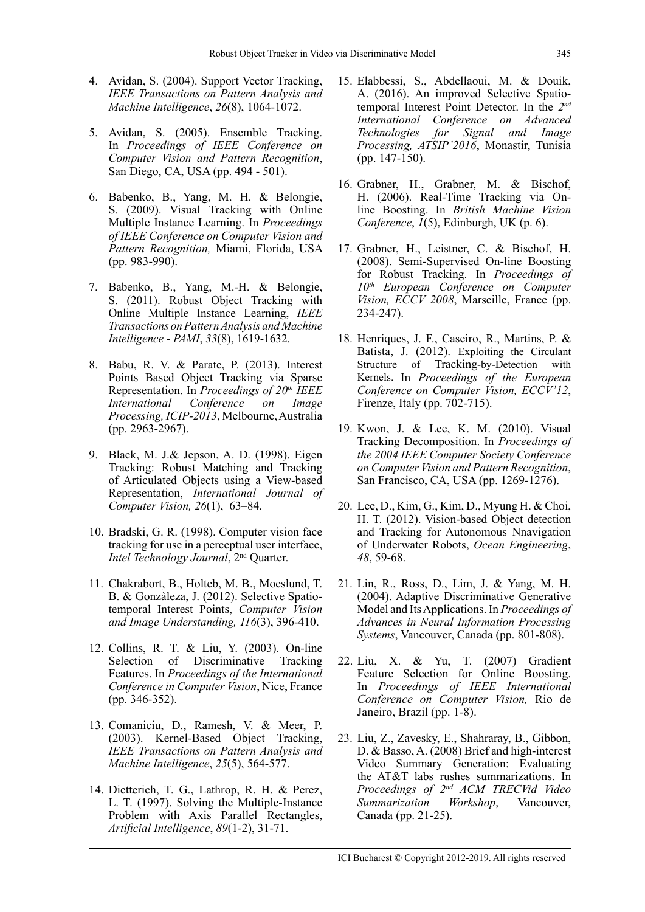- 4. Avidan, S. (2004). Support Vector Tracking, *IEEE Transactions on Pattern Analysis and Machine Intelligence*, *26*(8), 1064-1072.
- 5. Avidan, S. (2005). Ensemble Tracking. In *Proceedings of IEEE Conference on Computer Vision and Pattern Recognition*, San Diego, CA, USA (pp. 494 - 501).
- 6. Babenko, B., Yang, M. H. & Belongie, S. (2009). Visual Tracking with Online Multiple Instance Learning. In *Proceedings of IEEE Conference on Computer Vision and Pattern Recognition,* Miami, Florida, USA (pp. 983-990).
- 7. Babenko, B., Yang, M.-H. & Belongie, S. (2011). Robust Object Tracking with Online Multiple Instance Learning, *IEEE Transactions on Pattern Analysis and Machine Intelligence* - *PAMI*, *33*(8), 1619-1632.
- 8. Babu, R. V. & Parate, P. (2013). Interest Points Based Object Tracking via Sparse Representation. In *Proceedings of 20th IEEE International Conference on Image Processing, ICIP-2013*, Melbourne, Australia (pp. 2963-2967).
- 9. Black, M. J.& Jepson, A. D. (1998). Eigen Tracking: Robust Matching and Tracking of Articulated Objects using a View-based Representation, *International Journal of Computer Vision, 26*(1), 63–84.
- 10. Bradski, G. R. (1998). Computer vision face tracking for use in a perceptual user interface, *Intel Technology Journal*, 2nd Quarter.
- 11. Chakrabort, B., Holteb, M. B., Moeslund, T. B. & Gonzàleza, J. (2012). Selective Spatiotemporal Interest Points, *Computer Vision and Image Understanding, 116*(3), 396-410.
- 12. Collins, R. T. & Liu, Y. (2003). On-line Selection of Discriminative Tracking Features. In *Proceedings of the International Conference in Computer Vision*, Nice, France (pp. 346-352).
- 13. Comaniciu, D., Ramesh, V. & Meer, P. (2003). Kernel-Based Object Tracking, *IEEE Transactions on Pattern Analysis and Machine Intelligence*, *25*(5), 564-577.
- 14. Dietterich, T. G., Lathrop, R. H. & Perez, L. T. (1997). Solving the Multiple-Instance Problem with Axis Parallel Rectangles, *Artificial Intelligence*, *89*(1-2), 31-71.
- 15. Elabbessi, S., Abdellaoui, M. & Douik, A. (2016). An improved Selective Spatiotemporal Interest Point Detector. In the *2nd International Conference on Advanced Technologies for Signal and Image Processing, ATSIP'2016*, Monastir, Tunisia (pp. 147-150).
- 16. Grabner, H., Grabner, M. & Bischof, H. (2006). Real-Time Tracking via Online Boosting. In *British Machine Vision Conference*, *1*(5), Edinburgh, UK (p. 6).
- 17. Grabner, H., Leistner, C. & Bischof, H. (2008). Semi-Supervised On-line Boosting for Robust Tracking. In *Proceedings of 10th European Conference on Computer Vision, ECCV 2008*, Marseille, France (pp. 234-247).
- 18. Henriques, J. F., Caseiro, R., Martins, P. & Batista, J. (2012). Exploiting the Circulant Structure of Tracking-by-Detection with Kernels. In *Proceedings of the European Conference on Computer Vision, ECCV'12*, Firenze, Italy (pp. 702-715).
- 19. Kwon, J. & Lee, K. M. (2010). Visual Tracking Decomposition. In *Proceedings of the 2004 IEEE Computer Society Conference on Computer Vision and Pattern Recognition*, San Francisco, CA, USA (pp. 1269-1276).
- 20. Lee, D., Kim, G., Kim, D., Myung H. & Choi, H. T. (2012). Vision-based Object detection and Tracking for Autonomous Nnavigation of Underwater Robots, *Ocean Engineering*, *48*, 59-68.
- 21. Lin, R., Ross, D., Lim, J. & Yang, M. H. (2004). Adaptive Discriminative Generative Model and Its Applications. In *Proceedings of Advances in Neural Information Processing Systems*, Vancouver, Canada (pp. 801-808).
- 22. Liu, X. & Yu, T. (2007) Gradient Feature Selection for Online Boosting. In *Proceedings of IEEE International Conference on Computer Vision,* Rio de Janeiro, Brazil (pp. 1-8).
- 23. Liu, Z., Zavesky, E., Shahraray, B., Gibbon, D. & Basso, A. (2008) Brief and high-interest Video Summary Generation: Evaluating the AT&T labs rushes summarizations. In *Proceedings of 2nd ACM TRECVid Video Summarization Workshop*, Vancouver, Canada (pp. 21-25).